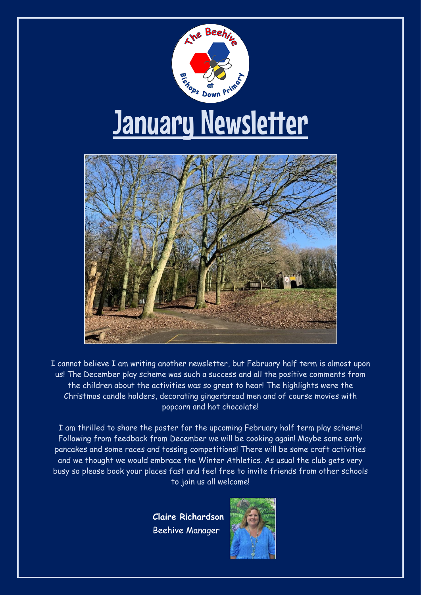

I cannot believe I am writing another newsletter, but February half term is almost upon us! The December play scheme was such a success and all the positive comments from the children about the activities was so great to hear! The highlights were the Christmas candle holders, decorating gingerbread men and of course movies with popcorn and hot chocolate!

I am thrilled to share the poster for the upcoming February half term play scheme! Following from feedback from December we will be cooking again! Maybe some early pancakes and some races and tossing competitions! There will be some craft activities and we thought we would embrace the Winter Athletics. As usual the club gets very busy so please book your places fast and feel free to invite friends from other schools to join us all welcome!

> **Claire Richardson** Beehive Manager

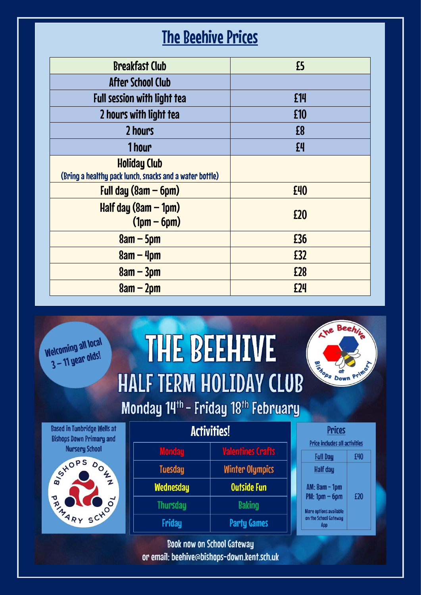## The Beehive Prices

| <b>Breakfast Club</b>                                                          | £5             |
|--------------------------------------------------------------------------------|----------------|
| <b>After School Club</b>                                                       |                |
| <b>Full session with light tea</b>                                             | £14            |
| 2 hours with light tea                                                         | £10            |
| 2 hours                                                                        | £8             |
| 1 hour                                                                         | f <sup>4</sup> |
| <b>Holiday Club</b><br>(Bring a healthy pack lunch, snacks and a water bottle) |                |
| Full day $(8am - 6pm)$                                                         | £40            |
| Half day $(8am - 1pm)$<br>$(1pm - 6pm)$                                        | £20            |
| $8am - 5pm$                                                                    | £36            |
| $8am - 4pm$                                                                    | £32            |
| $8am - 3pm$                                                                    | £28            |
| $8am - 2pm$                                                                    | £24            |



## **THE BEEHIVE HALF TERM HOLIDAY CLUB** Monday 14th - Friday 18th February







| <b>Activities!</b> |
|--------------------|
|--------------------|

| <b>Valentines Crafts</b> |
|--------------------------|
| <b>Winter Olympics</b>   |
| <b>Outside Fun</b>       |
| <b>Baking</b>            |
| <b>Party Games</b>       |
|                          |

**Book now on School Gateway** or email: beehive@bishops-down.kent.sch.uk

| Prices                                                        |     |
|---------------------------------------------------------------|-----|
| <b>Price includes all activities</b>                          |     |
| <b>Full Day</b>                                               | £40 |
| Half day                                                      |     |
| AM: 8am - 1pm                                                 |     |
| $PM: 1pm - 6pm$                                               | £20 |
| <b>More options available</b><br>on the School Gateway<br>App |     |